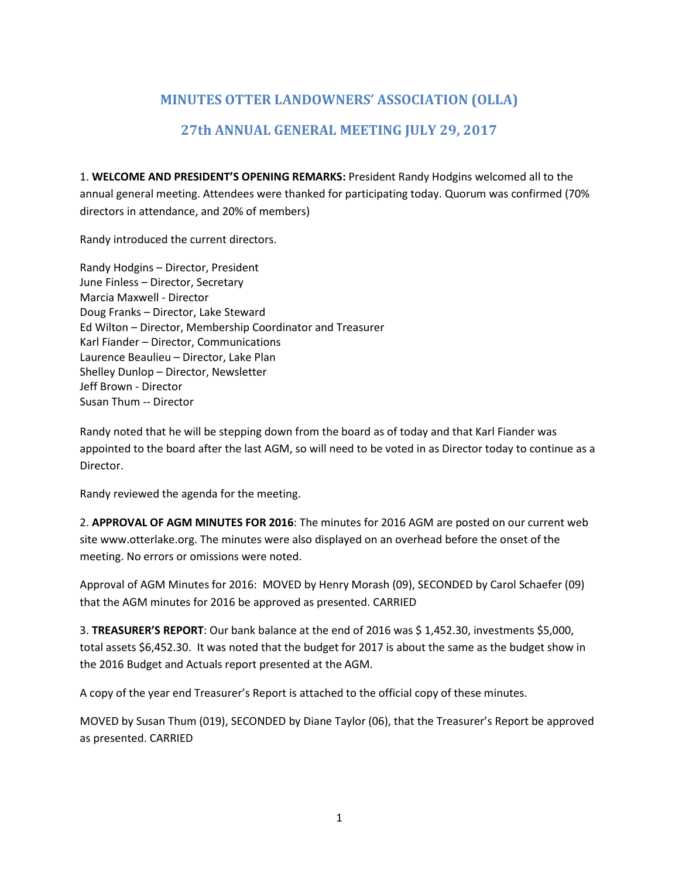# **MINUTES OTTER LANDOWNERS' ASSOCIATION (OLLA) 27th ANNUAL GENERAL MEETING JULY 29, 2017**

1. **WELCOME AND PRESIDENT'S OPENING REMARKS:** President Randy Hodgins welcomed all to the annual general meeting. Attendees were thanked for participating today. Quorum was confirmed (70% directors in attendance, and 20% of members)

Randy introduced the current directors.

Randy Hodgins – Director, President June Finless – Director, Secretary Marcia Maxwell - Director Doug Franks – Director, Lake Steward Ed Wilton – Director, Membership Coordinator and Treasurer Karl Fiander – Director, Communications Laurence Beaulieu – Director, Lake Plan Shelley Dunlop – Director, Newsletter Jeff Brown - Director Susan Thum -- Director

Randy noted that he will be stepping down from the board as of today and that Karl Fiander was appointed to the board after the last AGM, so will need to be voted in as Director today to continue as a Director.

Randy reviewed the agenda for the meeting.

2. **APPROVAL OF AGM MINUTES FOR 2016**: The minutes for 2016 AGM are posted on our current web site www.otterlake.org. The minutes were also displayed on an overhead before the onset of the meeting. No errors or omissions were noted.

Approval of AGM Minutes for 2016: MOVED by Henry Morash (09), SECONDED by Carol Schaefer (09) that the AGM minutes for 2016 be approved as presented. CARRIED

3. **TREASURER'S REPORT**: Our bank balance at the end of 2016 was \$ 1,452.30, investments \$5,000, total assets \$6,452.30. It was noted that the budget for 2017 is about the same as the budget show in the 2016 Budget and Actuals report presented at the AGM.

A copy of the year end Treasurer's Report is attached to the official copy of these minutes.

MOVED by Susan Thum (019), SECONDED by Diane Taylor (06), that the Treasurer's Report be approved as presented. CARRIED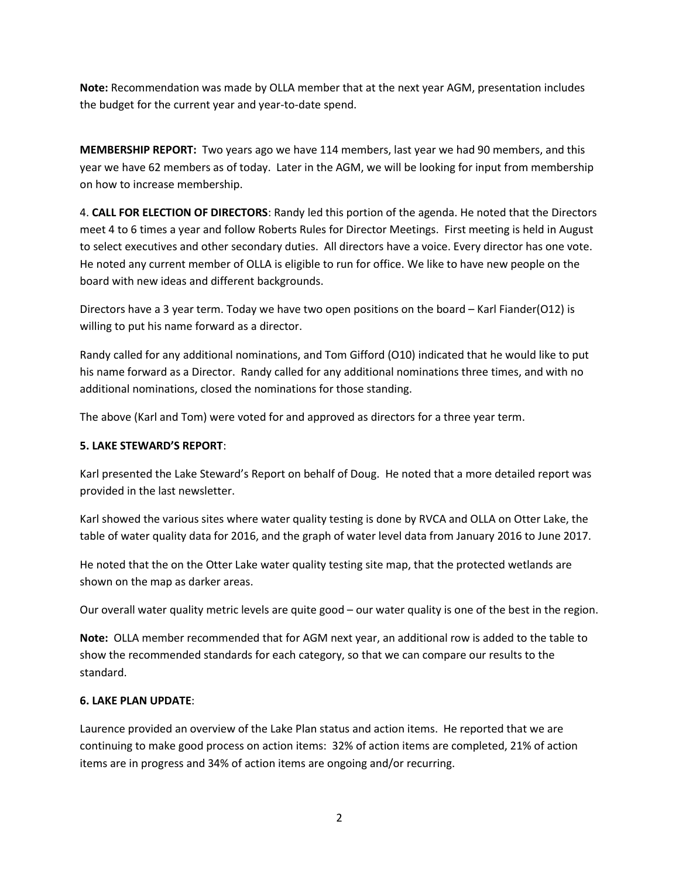**Note:** Recommendation was made by OLLA member that at the next year AGM, presentation includes the budget for the current year and year-to-date spend.

**MEMBERSHIP REPORT:** Two years ago we have 114 members, last year we had 90 members, and this year we have 62 members as of today. Later in the AGM, we will be looking for input from membership on how to increase membership.

4. **CALL FOR ELECTION OF DIRECTORS**: Randy led this portion of the agenda. He noted that the Directors meet 4 to 6 times a year and follow Roberts Rules for Director Meetings. First meeting is held in August to select executives and other secondary duties. All directors have a voice. Every director has one vote. He noted any current member of OLLA is eligible to run for office. We like to have new people on the board with new ideas and different backgrounds.

Directors have a 3 year term. Today we have two open positions on the board – Karl Fiander(O12) is willing to put his name forward as a director.

Randy called for any additional nominations, and Tom Gifford (O10) indicated that he would like to put his name forward as a Director. Randy called for any additional nominations three times, and with no additional nominations, closed the nominations for those standing.

The above (Karl and Tom) were voted for and approved as directors for a three year term.

## **5. LAKE STEWARD'S REPORT**:

Karl presented the Lake Steward's Report on behalf of Doug. He noted that a more detailed report was provided in the last newsletter.

Karl showed the various sites where water quality testing is done by RVCA and OLLA on Otter Lake, the table of water quality data for 2016, and the graph of water level data from January 2016 to June 2017.

He noted that the on the Otter Lake water quality testing site map, that the protected wetlands are shown on the map as darker areas.

Our overall water quality metric levels are quite good – our water quality is one of the best in the region.

**Note:** OLLA member recommended that for AGM next year, an additional row is added to the table to show the recommended standards for each category, so that we can compare our results to the standard.

#### **6. LAKE PLAN UPDATE**:

Laurence provided an overview of the Lake Plan status and action items. He reported that we are continuing to make good process on action items: 32% of action items are completed, 21% of action items are in progress and 34% of action items are ongoing and/or recurring.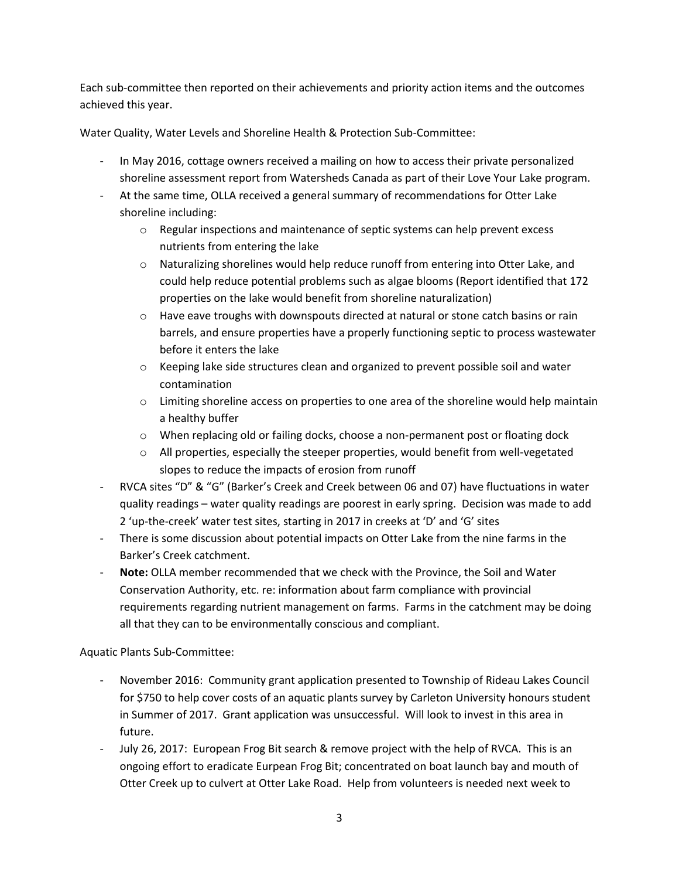Each sub-committee then reported on their achievements and priority action items and the outcomes achieved this year.

Water Quality, Water Levels and Shoreline Health & Protection Sub-Committee:

- In May 2016, cottage owners received a mailing on how to access their private personalized shoreline assessment report from Watersheds Canada as part of their Love Your Lake program.
- At the same time, OLLA received a general summary of recommendations for Otter Lake shoreline including:
	- o Regular inspections and maintenance of septic systems can help prevent excess nutrients from entering the lake
	- $\circ$  Naturalizing shorelines would help reduce runoff from entering into Otter Lake, and could help reduce potential problems such as algae blooms (Report identified that 172 properties on the lake would benefit from shoreline naturalization)
	- $\circ$  Have eave troughs with downspouts directed at natural or stone catch basins or rain barrels, and ensure properties have a properly functioning septic to process wastewater before it enters the lake
	- $\circ$  Keeping lake side structures clean and organized to prevent possible soil and water contamination
	- $\circ$  Limiting shoreline access on properties to one area of the shoreline would help maintain a healthy buffer
	- $\circ$  When replacing old or failing docks, choose a non-permanent post or floating dock
	- $\circ$  All properties, especially the steeper properties, would benefit from well-vegetated slopes to reduce the impacts of erosion from runoff
- RVCA sites "D" & "G" (Barker's Creek and Creek between 06 and 07) have fluctuations in water quality readings – water quality readings are poorest in early spring. Decision was made to add 2 'up-the-creek' water test sites, starting in 2017 in creeks at 'D' and 'G' sites
- There is some discussion about potential impacts on Otter Lake from the nine farms in the Barker's Creek catchment.
- **Note:** OLLA member recommended that we check with the Province, the Soil and Water Conservation Authority, etc. re: information about farm compliance with provincial requirements regarding nutrient management on farms. Farms in the catchment may be doing all that they can to be environmentally conscious and compliant.

Aquatic Plants Sub-Committee:

- November 2016: Community grant application presented to Township of Rideau Lakes Council for \$750 to help cover costs of an aquatic plants survey by Carleton University honours student in Summer of 2017. Grant application was unsuccessful. Will look to invest in this area in future.
- July 26, 2017: European Frog Bit search & remove project with the help of RVCA. This is an ongoing effort to eradicate Eurpean Frog Bit; concentrated on boat launch bay and mouth of Otter Creek up to culvert at Otter Lake Road. Help from volunteers is needed next week to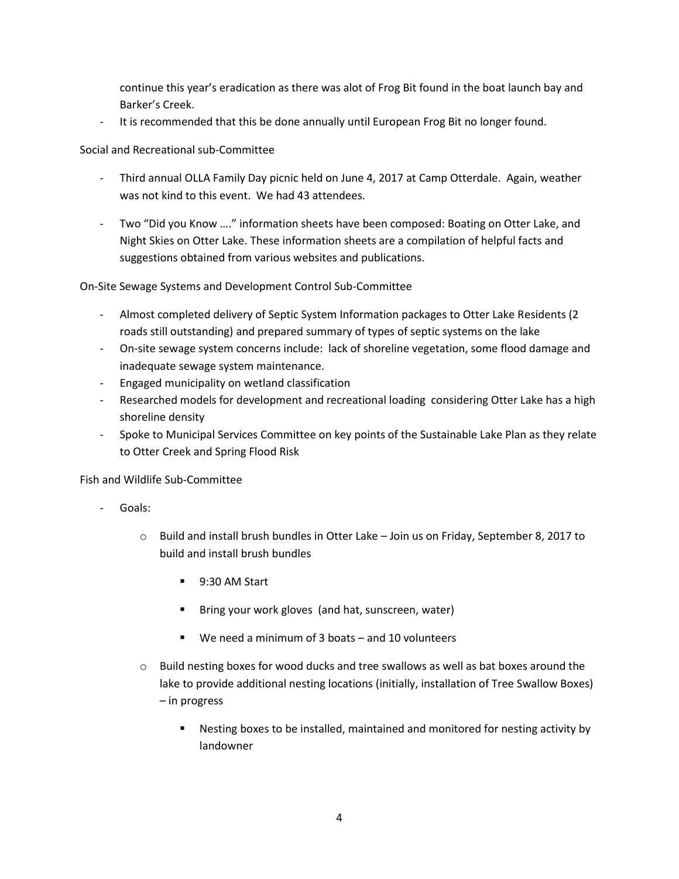continue this year's eradication as there was alot of Frog Bit found in the boat launch bay and Barker's Creek.

It is recommended that this be done annually until European Frog Bit no longer found.

Social and Recreational sub-Committee

- Third annual OLLA Family Day picnic held on June 4, 2017 at Camp Otterdale. Again, weather was not kind to this event. We had 43 attendees.
- Two "Did you Know ...." information sheets have been composed: Boating on Otter Lake, and Night Skies on Otter Lake. These information sheets are a compilation of helpful facts and suggestions obtained from various websites and publications.

On-Site Sewage Systems and Development Control Sub-Committee

- Almost completed delivery of Septic System Information packages to Otter Lake Residents (2 roads still outstanding) and prepared summary of types of septic systems on the lake
- On-site sewage system concerns include: lack of shoreline vegetation, some flood damage and inadequate sewage system maintenance.
- Engaged municipality on wetland classification
- Researched models for development and recreational loading considering Otter Lake has a high shoreline density
- Spoke to Municipal Services Committee on key points of the Sustainable Lake Plan as they relate to Otter Creek and Spring Flood Risk

Fish and Wildlife Sub-Committee

- Goals:
	- o Build and install brush bundles in Otter Lake Join us on Friday, September 8, 2017 to build and install brush bundles
		- 9:30 AM Start
		- Bring your work gloves (and hat, sunscreen, water)
		- We need a minimum of 3 boats and 10 volunteers
	- $\circ$  Build nesting boxes for wood ducks and tree swallows as well as bat boxes around the lake to provide additional nesting locations (initially, installation of Tree Swallow Boxes) – in progress
		- Nesting boxes to be installed, maintained and monitored for nesting activity by landowner